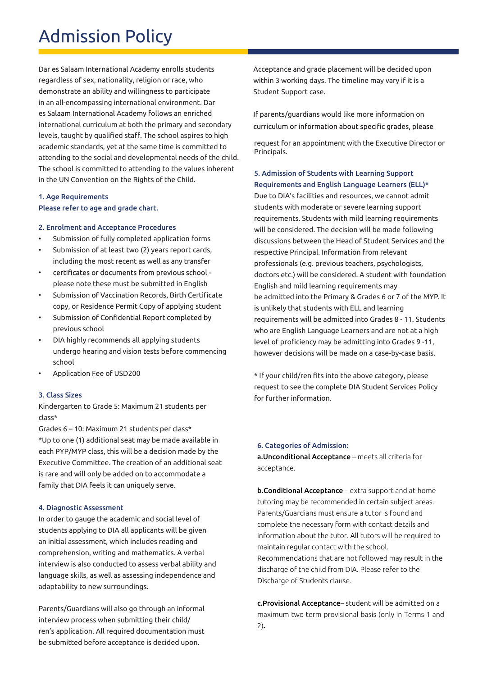## Admission Policy

Dar es Salaam International Academy enrolls students regardless of sex, nationality, religion or race, who demonstrate an ability and willingness to participate in an all-encompassing international environment. Dar es Salaam International Academy follows an enriched international curriculum at both the primary and secondary levels, taught by qualified staff. The school aspires to high academic standards, yet at the same time is committed to attending to the social and developmental needs of the child. The school is committed to attending to the values inherent in the UN Convention on the Rights of the Child.

## 1. Age Requirements Please refer to age and grade chart.

### 2. Enrolment and Acceptance Procedures

- Submission of fully completed application forms
- Submission of at least two (2) years report cards, including the most recent as well as any transfer
- certificates or documents from previous school please note these must be submitted in English
- Submission of Vaccination Records, Birth Certificate • copy, or Residence Permit Copy of applying student
- Submission of Confidential Report completed by previous school
- DIA highly recommends all applying students undergo hearing and vision tests before commencing school
- Application Fee of USD200

### 3. Class Sizes

Kindergarten to Grade 5: Maximum 21 students per class\*

Grades  $6 - 10$ : Maximum 21 students per class\* \*Up to one (1) additional seat may be made available in each PYP/MYP class, this will be a decision made by the Executive Committee. The creation of an additional seat is rare and will only be added on to accommodate a family that DIA feels it can uniquely serve.

### 4. Diagnostic Assessment

In order to gauge the academic and social level of students applying to DIA all applicants will be given an initial assessment, which includes reading and comprehension, writing and mathematics. A verbal interview is also conducted to assess verbal ability and language skills, as well as assessing independence and adaptability to new surroundings.

Parents/Guardians will also go through an informal interview process when submitting their child/ ren's application. All required documentation must be submitted before acceptance is decided upon.

Acceptance and grade placement will be decided upon within 3 working days. The timeline may vary if it is a Student Support case.

If parents/guardians would like more information on curriculum or information about specific grades, please

request for an appointment with the Executive Director or Principals.

## 5. Admission of Students with Learning Support Requirements and English Language Learners (ELL)\*

Due to DIA's facilities and resources, we cannot admit students with moderate or severe learning support requirements. Students with mild learning requirements will be considered. The decision will be made following discussions between the Head of Student Services and the respective Principal. Information from relevant professionals (e.g. previous teachers, psychologists, doctors etc.) will be considered. A student with foundation English and mild learning requirements may be admitted into the Primary & Grades 6 or 7 of the MYP. It is unlikely that students with ELL and learning requirements will be admitted into Grades 8 - 11. Students who are English Language Learners and are not at a high level of proficiency may be admitting into Grades 9-11, however decisions will be made on a case-by-case basis.

\* If your child/ren fits into the above category, please request to see the complete DIA Student Services Policy for further information.

### 6. Categories of Admission:

a. Unconditional Acceptance – meets all criteria for acceptance.

**b.Conditional Acceptance** – extra support and at-home tutoring may be recommended in certain subject areas. Parents/Guardians must ensure a tutor is found and complete the necessary form with contact details and information about the tutor. All tutors will be required to maintain regular contact with the school. Recommendations that are not followed may result in the discharge of the child from DIA. Please refer to the Discharge of Students clause.

c. Provisional Acceptance – student will be admitted on a maximum two term provisional basis (only in Terms 1 and 2)**.**